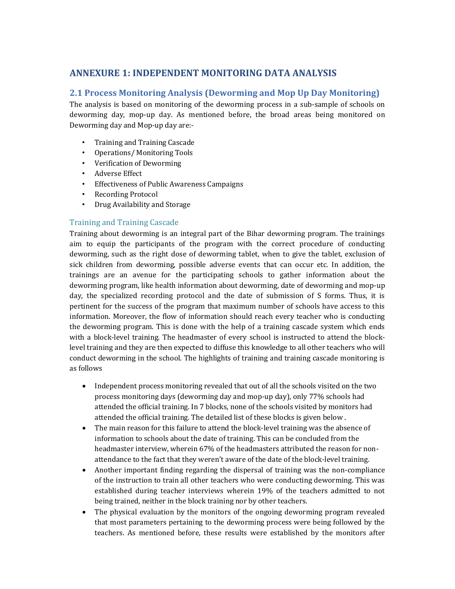# **ANNEXURE 1: INDEPENDENT MONITORING DATA ANALYSIS**

## **2.1 Process Monitoring Analysis (Deworming and Mop Up Day Monitoring)**

The analysis is based on monitoring of the deworming process in a sub-sample of schools on deworming day, mop-up day. As mentioned before, the broad areas being monitored on Deworming day and Mop-up day are:-

- Training and Training Cascade
- Operations/ Monitoring Tools
- Verification of Deworming
- Adverse Effect
- Effectiveness of Public Awareness Campaigns
- Recording Protocol
- Drug Availability and Storage

#### Training and Training Cascade

Training about deworming is an integral part of the Bihar deworming program. The trainings aim to equip the participants of the program with the correct procedure of conducting deworming, such as the right dose of deworming tablet, when to give the tablet, exclusion of sick children from deworming, possible adverse events that can occur etc. In addition, the trainings are an avenue for the participating schools to gather information about the deworming program, like health information about deworming, date of deworming and mop-up day, the specialized recording protocol and the date of submission of S forms. Thus, it is pertinent for the success of the program that maximum number of schools have access to this information. Moreover, the flow of information should reach every teacher who is conducting the deworming program. This is done with the help of a training cascade system which ends with a block-level training. The headmaster of every school is instructed to attend the blocklevel training and they are then expected to diffuse this knowledge to all other teachers who will conduct deworming in the school. The highlights of training and training cascade monitoring is as follows

- Independent process monitoring revealed that out of all the schools visited on the two process monitoring days (deworming day and mop-up day), only 77% schools had attended the official training. In 7 blocks, none of the schools visited by monitors had attended the official training. The detailed list of these blocks is given below .
- The main reason for this failure to attend the block-level training was the absence of information to schools about the date of training. This can be concluded from the headmaster interview, wherein 67% of the headmasters attributed the reason for nonattendance to the fact that they weren't aware of the date of the block-level training.
- Another important finding regarding the dispersal of training was the non-compliance of the instruction to train all other teachers who were conducting deworming. This was established during teacher interviews wherein 19% of the teachers admitted to not being trained, neither in the block training nor by other teachers.
- The physical evaluation by the monitors of the ongoing deworming program revealed that most parameters pertaining to the deworming process were being followed by the teachers. As mentioned before, these results were established by the monitors after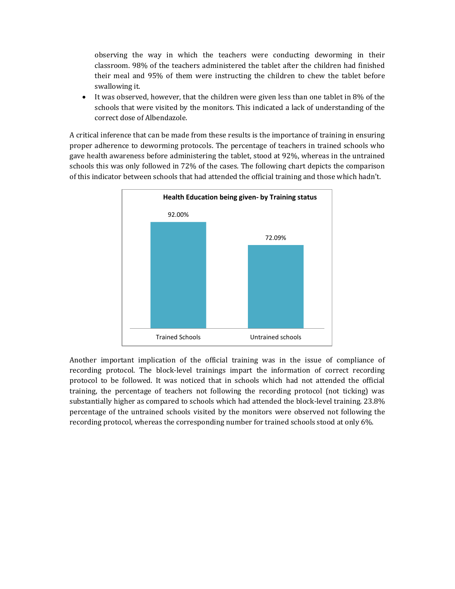observing the way in which the teachers were conducting deworming in their classroom. 98% of the teachers administered the tablet after the children had finished their meal and 95% of them were instructing the children to chew the tablet before swallowing it.

• It was observed, however, that the children were given less than one tablet in 8% of the schools that were visited by the monitors. This indicated a lack of understanding of the correct dose of Albendazole.

A critical inference that can be made from these results is the importance of training in ensuring proper adherence to deworming protocols. The percentage of teachers in trained schools who gave health awareness before administering the tablet, stood at 92%, whereas in the untrained schools this was only followed in 72% of the cases. The following chart depicts the comparison of this indicator between schools that had attended the official training and those which hadn't.



Another important implication of the official training was in the issue of compliance of recording protocol. The block-level trainings impart the information of correct recording protocol to be followed. It was noticed that in schools which had not attended the official training, the percentage of teachers not following the recording protocol (not ticking) was substantially higher as compared to schools which had attended the block-level training. 23.8% percentage of the untrained schools visited by the monitors were observed not following the recording protocol, whereas the corresponding number for trained schools stood at only 6%.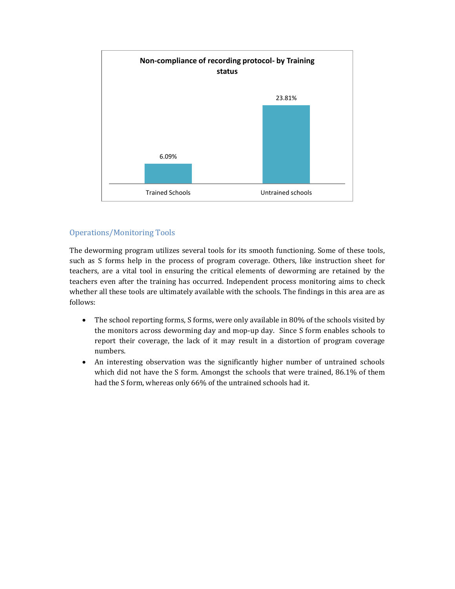

## Operations/Monitoring Tools

The deworming program utilizes several tools for its smooth functioning. Some of these tools, such as S forms help in the process of program coverage. Others, like instruction sheet for teachers, are a vital tool in ensuring the critical elements of deworming are retained by the teachers even after the training has occurred. Independent process monitoring aims to check whether all these tools are ultimately available with the schools. The findings in this area are as follows:

- $\bullet$  The school reporting forms, S forms, were only available in 80% of the schools visited by the monitors across deworming day and mop-up day. Since S form enables schools to report their coverage, the lack of it may result in a distortion of program coverage numbers.
- An interesting observation was the significantly higher number of untrained schools which did not have the S form. Amongst the schools that were trained, 86.1% of them had the S form, whereas only 66% of the untrained schools had it.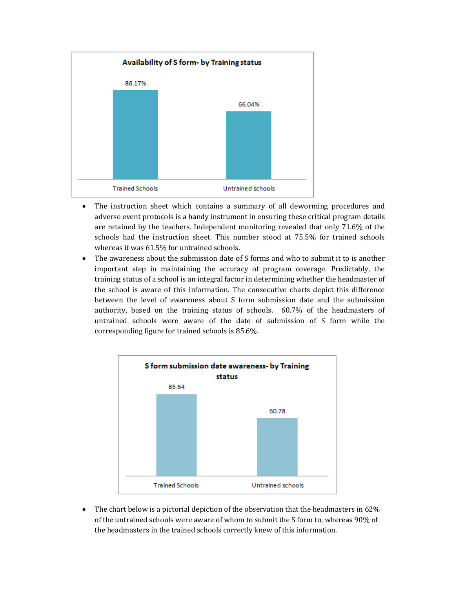

- The instruction sheet which contains a summary of all deworming procedures and adverse event protocols is a handy instrument in ensuring these critical program details are retained by the teachers. Independent monitoring revealed that only 71.6% of the schools had the instruction sheet. This number stood at 75.5% for trained schools whereas it was 61.5% for untrained schools.
- The awareness about the submission date of S forms and who to submit it to is another important step in maintaining the accuracy of program coverage. Predictably, the training status of a school is an integral factor in determining whether the headmaster of the school is aware of this information. The consecutive charts depict this difference between the level of awareness about S form submission date and the submission authority, based on the training status of schools. 60.7% of the headmasters of untrained schools were aware of the date of submission of S form while the corresponding figure for trained schools is 85.6%.



• The chart below is a pictorial depiction of the observation that the headmasters in 62% of the untrained schools were aware of whom to submit the S form to, whereas 90% of the headmasters in the trained schools correctly knew of this information.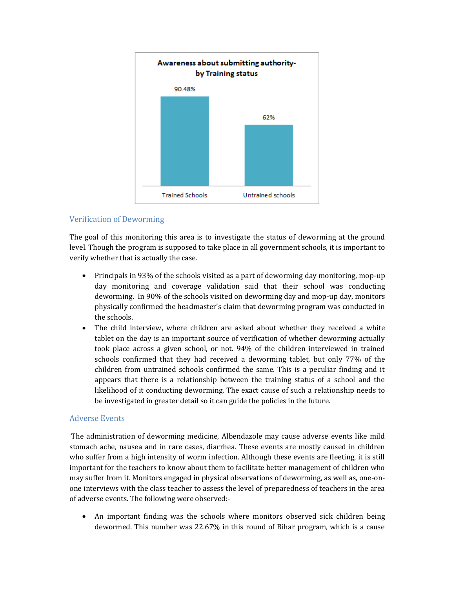

## Verification of Deworming

The goal of this monitoring this area is to investigate the status of deworming at the ground level. Though the program is supposed to take place in all government schools, it is important to verify whether that is actually the case.

- $\bullet$  Principals in 93% of the schools visited as a part of deworming day monitoring, mop-up day monitoring and coverage validation said that their school was conducting deworming. In 90% of the schools visited on deworming day and mop-up day, monitors physically confirmed the headmaster's claim that deworming program was conducted in the schools.
- The child interview, where children are asked about whether they received a white tablet on the day is an important source of verification of whether deworming actually took place across a given school, or not. 94% of the children interviewed in trained schools confirmed that they had received a deworming tablet, but only 77% of the children from untrained schools confirmed the same. This is a peculiar finding and it appears that there is a relationship between the training status of a school and the likelihood of it conducting deworming. The exact cause of such a relationship needs to be investigated in greater detail so it can guide the policies in the future.

#### Adverse Events

The administration of deworming medicine, Albendazole may cause adverse events like mild stomach ache, nausea and in rare cases, diarrhea. These events are mostly caused in children who suffer from a high intensity of worm infection. Although these events are fleeting, it is still important for the teachers to know about them to facilitate better management of children who may suffer from it. Monitors engaged in physical observations of deworming, as well as, one-onone interviews with the class teacher to assess the level of preparedness of teachers in the area of adverse events. The following were observed:-

An important finding was the schools where monitors observed sick children being dewormed. This number was 22.67% in this round of Bihar program, which is a cause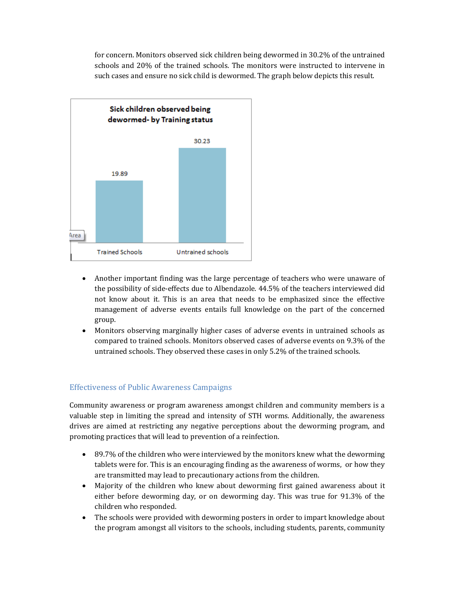for concern. Monitors observed sick children being dewormed in 30.2% of the untrained schools and 20% of the trained schools. The monitors were instructed to intervene in such cases and ensure no sick child is dewormed. The graph below depicts this result.



- Another important finding was the large percentage of teachers who were unaware of the possibility of side-effects due to Albendazole. 44.5% of the teachers interviewed did not know about it. This is an area that needs to be emphasized since the effective management of adverse events entails full knowledge on the part of the concerned group.
- Monitors observing marginally higher cases of adverse events in untrained schools as compared to trained schools. Monitors observed cases of adverse events on 9.3% of the untrained schools. They observed these cases in only 5.2% of the trained schools.

#### Effectiveness of Public Awareness Campaigns

Community awareness or program awareness amongst children and community members is a valuable step in limiting the spread and intensity of STH worms. Additionally, the awareness drives are aimed at restricting any negative perceptions about the deworming program, and promoting practices that will lead to prevention of a reinfection.

- 89.7% of the children who were interviewed by the monitors knew what the deworming tablets were for. This is an encouraging finding as the awareness of worms, or how they are transmitted may lead to precautionary actions from the children.
- Majority of the children who knew about deworming first gained awareness about it either before deworming day, or on deworming day. This was true for 91.3% of the children who responded.
- The schools were provided with deworming posters in order to impart knowledge about the program amongst all visitors to the schools, including students, parents, community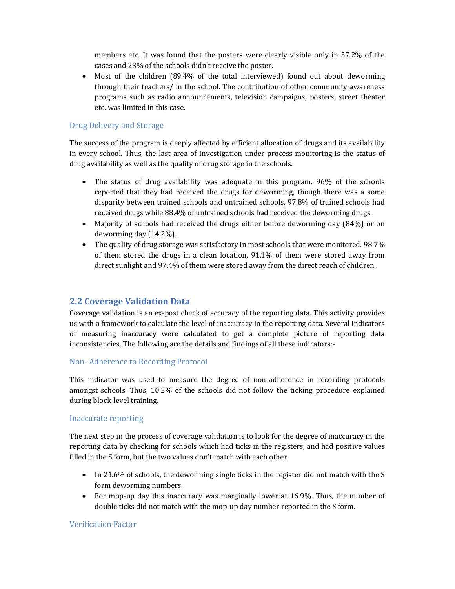members etc. It was found that the posters were clearly visible only in 57.2% of the cases and 23% of the schools didn't receive the poster.

• Most of the children (89.4% of the total interviewed) found out about deworming through their teachers/ in the school. The contribution of other community awareness programs such as radio announcements, television campaigns, posters, street theater etc. was limited in this case.

## Drug Delivery and Storage

The success of the program is deeply affected by efficient allocation of drugs and its availability in every school. Thus, the last area of investigation under process monitoring is the status of drug availability as well as the quality of drug storage in the schools.

- The status of drug availability was adequate in this program. 96% of the schools reported that they had received the drugs for deworming, though there was a some disparity between trained schools and untrained schools. 97.8% of trained schools had received drugs while 88.4% of untrained schools had received the deworming drugs.
- Majority of schools had received the drugs either before deworming day (84%) or on deworming day (14.2%).
- The quality of drug storage was satisfactory in most schools that were monitored. 98.7% of them stored the drugs in a clean location, 91.1% of them were stored away from direct sunlight and 97.4% of them were stored away from the direct reach of children.

## **2.2 Coverage Validation Data**

Coverage validation is an ex-post check of accuracy of the reporting data. This activity provides us with a framework to calculate the level of inaccuracy in the reporting data. Several indicators of measuring inaccuracy were calculated to get a complete picture of reporting data inconsistencies. The following are the details and findings of all these indicators:-

## Non- Adherence to Recording Protocol

This indicator was used to measure the degree of non-adherence in recording protocols amongst schools. Thus, 10.2% of the schools did not follow the ticking procedure explained during block-level training.

#### Inaccurate reporting

The next step in the process of coverage validation is to look for the degree of inaccuracy in the reporting data by checking for schools which had ticks in the registers, and had positive values filled in the S form, but the two values don't match with each other.

- In 21.6% of schools, the deworming single ticks in the register did not match with the S form deworming numbers.
- For mop-up day this inaccuracy was marginally lower at  $16.9\%$ . Thus, the number of double ticks did not match with the mop-up day number reported in the S form.

## Verification Factor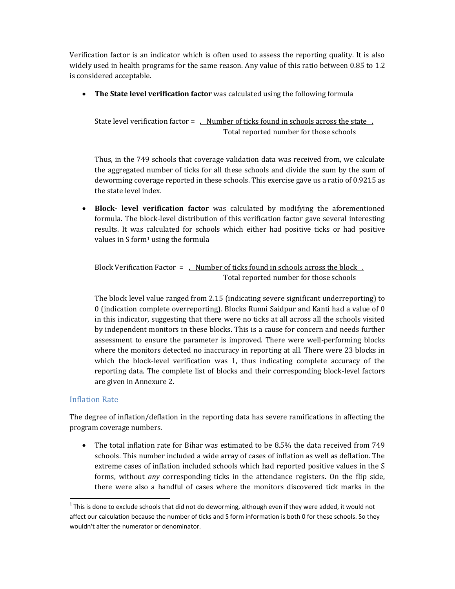Verification factor is an indicator which is often used to assess the reporting quality. It is also widely used in health programs for the same reason. Any value of this ratio between 0.85 to 1.2 is considered acceptable.

**• The State level verification factor** was calculated using the following formula

State level verification factor = . Number of ticks found in schools across the state . Total reported number for those schools

Thus, in the 749 schools that coverage validation data was received from, we calculate the aggregated number of ticks for all these schools and divide the sum by the sum of deworming coverage reported in these schools. This exercise gave us a ratio of 0.9215 as the state level index.

**• Block- level verification factor** was calculated by modifying the aforementioned formula. The block-level distribution of this verification factor gave several interesting results. It was calculated for schools which either had positive ticks or had positive values in  $S$  form<sup>1</sup> using the formula

Block Verification Factor  $=$  . Number of ticks found in schools across the block  $\overline{\phantom{a}}$ . Total reported number for those schools

The block level value ranged from 2.15 (indicating severe significant underreporting) to 0 (indication complete overreporting). Blocks Runni Saidpur and Kanti had a value of 0 in this indicator, suggesting that there were no ticks at all across all the schools visited by independent monitors in these blocks. This is a cause for concern and needs further assessment to ensure the parameter is improved. There were well-performing blocks where the monitors detected no inaccuracy in reporting at all. There were 23 blocks in which the block-level verification was 1, thus indicating complete accuracy of the reporting data. The complete list of blocks and their corresponding block-level factors are given in Annexure 2.

## Inflation Rate

The degree of inflation/deflation in the reporting data has severe ramifications in affecting the program coverage numbers.

The total inflation rate for Bihar was estimated to be 8.5% the data received from 749 schools. This number included a wide array of cases of inflation as well as deflation. The extreme cases of inflation included schools which had reported positive values in the S forms, without *any* corresponding ticks in the attendance registers. On the flip side, there were also a handful of cases where the monitors discovered tick marks in the

 $1$  This is done to exclude schools that did not do deworming, although even if they were added, it would not affect our calculation because the number of ticks and S form information is both 0 for these schools. So they wouldn't alter the numerator or denominator.